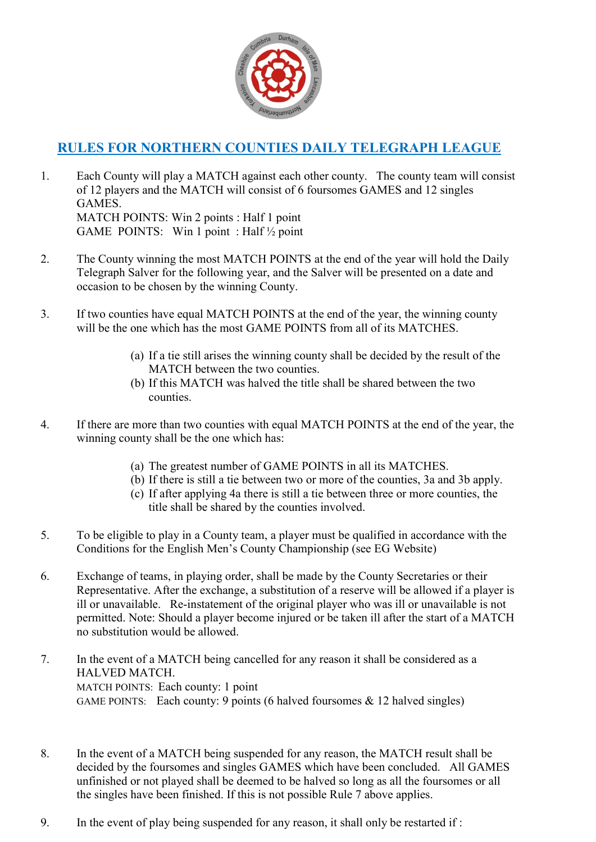

## **RULES FOR NORTHERN COUNTIES DAILY TELEGRAPH LEAGUE**

- 1. Each County will play a MATCH against each other county. The county team will consist of 12 players and the MATCH will consist of 6 foursomes GAMES and 12 singles GAMES. MATCH POINTS: Win 2 points : Half 1 point GAME POINTS: Win 1 point : Half ½ point
- 2. The County winning the most MATCH POINTS at the end of the year will hold the Daily Telegraph Salver for the following year, and the Salver will be presented on a date and occasion to be chosen by the winning County.
- 3. If two counties have equal MATCH POINTS at the end of the year, the winning county will be the one which has the most GAME POINTS from all of its MATCHES.
	- (a) If a tie still arises the winning county shall be decided by the result of the MATCH between the two counties.
	- (b) If this MATCH was halved the title shall be shared between the two counties.
- 4. If there are more than two counties with equal MATCH POINTS at the end of the year, the winning county shall be the one which has:
	- (a) The greatest number of GAME POINTS in all its MATCHES.
	- (b) If there is still a tie between two or more of the counties, 3a and 3b apply.
	- (c) If after applying 4a there is still a tie between three or more counties, the title shall be shared by the counties involved.
- 5. To be eligible to play in a County team, a player must be qualified in accordance with the Conditions for the English Men's County Championship (see EG Website)
- 6. Exchange of teams, in playing order, shall be made by the County Secretaries or their Representative. After the exchange, a substitution of a reserve will be allowed if a player is ill or unavailable. Re-instatement of the original player who was ill or unavailable is not permitted. Note: Should a player become injured or be taken ill after the start of a MATCH no substitution would be allowed.
- 7. In the event of a MATCH being cancelled for any reason it shall be considered as a HALVED MATCH. MATCH POINTS: Each county: 1 point GAME POINTS: Each county: 9 points (6 halved foursomes  $\&$  12 halved singles)
- 8. In the event of a MATCH being suspended for any reason, the MATCH result shall be decided by the foursomes and singles GAMES which have been concluded. All GAMES unfinished or not played shall be deemed to be halved so long as all the foursomes or all the singles have been finished. If this is not possible Rule 7 above applies.
- 9. In the event of play being suspended for any reason, it shall only be restarted if :